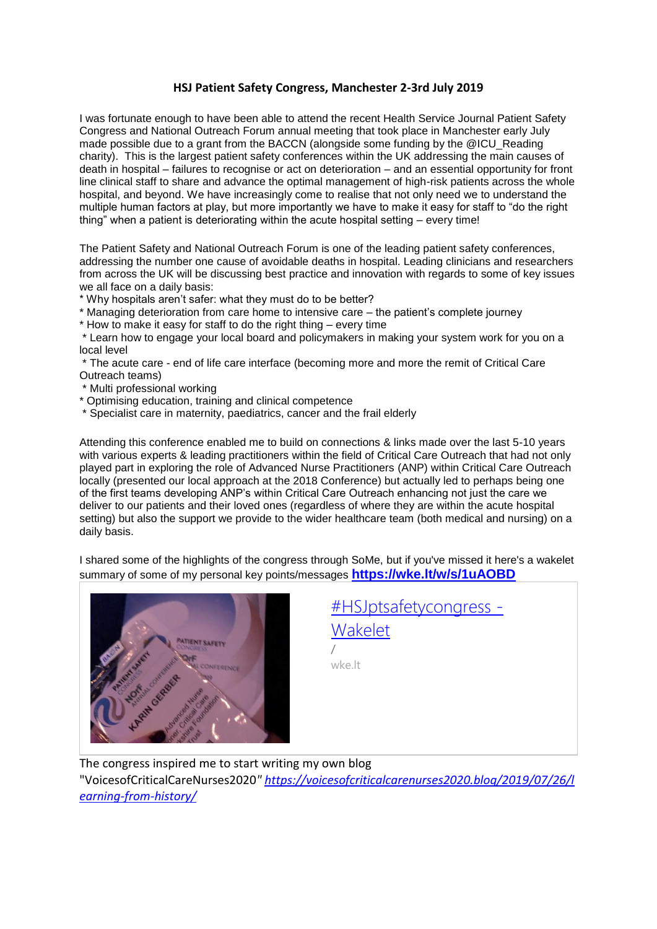## **HSJ Patient Safety Congress, Manchester 2-3rd July 2019**

I was fortunate enough to have been able to attend the recent Health Service Journal Patient Safety Congress and National Outreach Forum annual meeting that took place in Manchester early July made possible due to a grant from the BACCN (alongside some funding by the @ICU\_Reading charity). This is the largest patient safety conferences within the UK addressing the main causes of death in hospital – failures to recognise or act on deterioration – and an essential opportunity for front line clinical staff to share and advance the optimal management of high-risk patients across the whole hospital, and beyond. We have increasingly come to realise that not only need we to understand the multiple human factors at play, but more importantly we have to make it easy for staff to "do the right thing" when a patient is deteriorating within the acute hospital setting – every time!

The Patient Safety and National Outreach Forum is one of the leading patient safety conferences, addressing the number one cause of avoidable deaths in hospital. Leading clinicians and researchers from across the UK will be discussing best practice and innovation with regards to some of key issues we all face on a daily basis:

\* Why hospitals aren't safer: what they must do to be better?

\* Managing deterioration from care home to intensive care – the patient's complete journey

\* How to make it easy for staff to do the right thing – every time

\* Learn how to engage your local board and policymakers in making your system work for you on a local level

\* The acute care - end of life care interface (becoming more and more the remit of Critical Care Outreach teams)

- \* Multi professional working
- \* Optimising education, training and clinical competence
- \* Specialist care in maternity, paediatrics, cancer and the frail elderly

Attending this conference enabled me to build on connections & links made over the last 5-10 years with various experts & leading practitioners within the field of Critical Care Outreach that had not only played part in exploring the role of Advanced Nurse Practitioners (ANP) within Critical Care Outreach locally (presented our local approach at the 2018 Conference) but actually led to perhaps being one of the first teams developing ANP's within Critical Care Outreach enhancing not just the care we deliver to our patients and their loved ones (regardless of where they are within the acute hospital setting) but also the support we provide to the wider healthcare team (both medical and nursing) on a daily basis.

I shared some of the highlights of the congress through SoMe, but if you've missed it here's a wakelet summary of some of my personal key points/messages **<https://wke.lt/w/s/1uAOBD>**



| #HSJptsafetycongress - |  |
|------------------------|--|
| Wakelet                |  |
|                        |  |
| wke.lt                 |  |
|                        |  |

The congress inspired me to start writing my own blog

"VoicesofCriticalCareNurses2020*" [https://voicesofcriticalcarenurses2020.blog/2019/07/26/l](https://voicesofcriticalcarenurses2020.blog/2019/07/26/learning-from-history/) [earning-from-history/](https://voicesofcriticalcarenurses2020.blog/2019/07/26/learning-from-history/)*